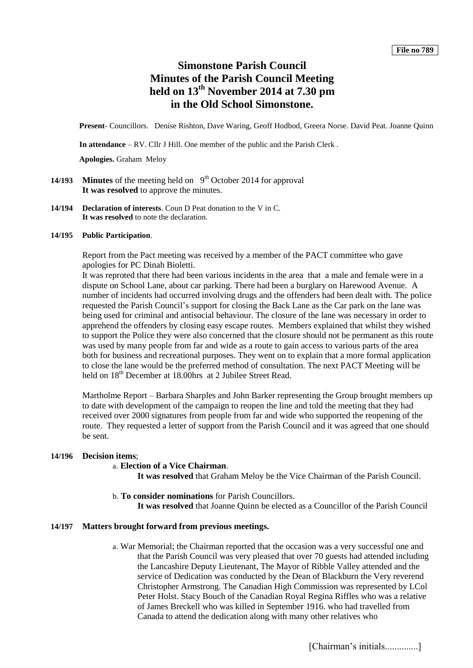# **Simonstone Parish Council Minutes of the Parish Council Meeting held on 13th November 2014 at 7.30 pm in the Old School Simonstone.**

**Present**- Councillors. Denise Rishton, Dave Waring, Geoff Hodbod, Greera Norse. David Peat. Joanne Quinn

**In attendance** – RV. Cllr J Hill. One member of the public and the Parish Clerk .

**Apologies.** Graham Meloy

- **14/193 Minutes** of the meeting held on  $9<sup>th</sup>$  October 2014 for approval **It was resolved** to approve the minutes.
- **14/194 Declaration of interests**. Coun D Peat donation to the V in C. **It was resolved** to note the declaration.

#### **14/195 Public Participation**.

Report from the Pact meeting was received by a member of the PACT committee who gave apologies for PC Dinah Bioletti.

It was reproted that there had been various incidents in the area that a male and female were in a dispute on School Lane, about car parking. There had been a burglary on Harewood Avenue. A number of incidents had occurred involving drugs and the offenders had been dealt with. The police requested the Parish Council's support for closing the Back Lane as the Car park on the lane was being used for criminal and antisocial behaviour. The closure of the lane was necessary in order to apprehend the offenders by closing easy escape routes. Members explained that whilst they wished to support the Police they were also concerned that the closure should not be permanent as this route was used by many people from far and wide as a route to gain access to various parts of the area both for business and recreational purposes. They went on to explain that a more formal application to close the lane would be the preferred method of consultation. The next PACT Meeting will be held on  $18<sup>th</sup>$  December at 18.00hrs at 2 Jubilee Street Read.

Martholme Report – Barbara Sharples and John Barker representing the Group brought members up to date with development of the campaign to reopen the line and told the meeting that they had received over 2000 signatures from people from far and wide who supported the reopening of the route. They requested a letter of support from the Parish Council and it was agreed that one should be sent.

# **14/196 Decision items**;

# a. **Election of a Vice Chairman**.

**It was resolved** that Graham Meloy be the Vice Chairman of the Parish Council.

b. **To consider nominations** for Parish Councillors. **It was resolved** that Joanne Quinn be elected as a Councillor of the Parish Council

# **14/197 Matters brought forward from previous meetings.**

a. War Memorial; the Chairman reported that the occasion was a very successful one and that the Parish Council was very pleased that over 70 guests had attended including the Lancashire Deputy Lieutenant, The Mayor of Ribble Valley attended and the service of Dedication was conducted by the Dean of Blackburn the Very reverend Christopher Armstrong. The Canadian High Commission was represented by LCol Peter Holst. Stacy Bouch of the Canadian Royal Regina Riffles who was a relative of James Breckell who was killed in September 1916. who had travelled from Canada to attend the dedication along with many other relatives who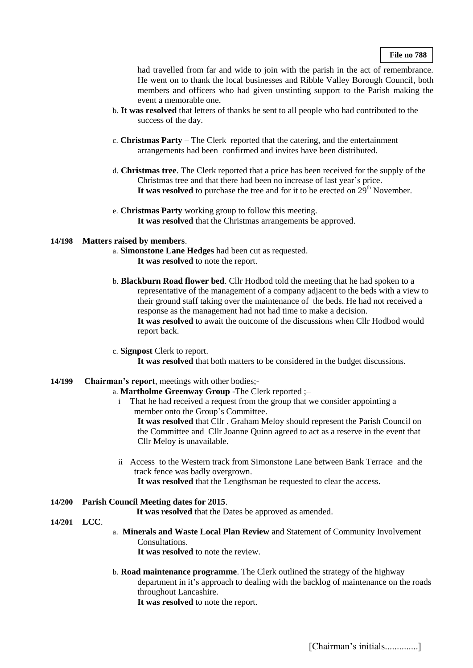had travelled from far and wide to join with the parish in the act of remembrance. He went on to thank the local businesses and Ribble Valley Borough Council, both members and officers who had given unstinting support to the Parish making the event a memorable one.

- b. **It was resolved** that letters of thanks be sent to all people who had contributed to the success of the day.
- c. **Christmas Party –** The Clerk reported that the catering, and the entertainment arrangements had been confirmed and invites have been distributed.
- d. **Christmas tree**. The Clerk reported that a price has been received for the supply of the Christmas tree and that there had been no increase of last year's price. It was resolved to purchase the tree and for it to be erected on  $29<sup>th</sup>$  November.
- e. **Christmas Party** working group to follow this meeting. **It was resolved** that the Christmas arrangements be approved.

### **14/198 Matters raised by members**.

- a. **Simonstone Lane Hedges** had been cut as requested. **It was resolved** to note the report.
- b. **Blackburn Road flower bed**. Cllr Hodbod told the meeting that he had spoken to a representative of the management of a company adjacent to the beds with a view to their ground staff taking over the maintenance of the beds. He had not received a response as the management had not had time to make a decision. **It was resolved** to await the outcome of the discussions when Cllr Hodbod would report back.
- c. **Signpost** Clerk to report. **It was resolved** that both matters to be considered in the budget discussions.

#### **14/199 Chairman's report**, meetings with other bodies;-

### a. **Martholme Greenway Group** -The Clerk reported ;–

- i That he had received a request from the group that we consider appointing a member onto the Group's Committee. **It was resolved** that Cllr . Graham Meloy should represent the Parish Council on the Committee and Cllr Joanne Quinn agreed to act as a reserve in the event that Cllr Meloy is unavailable.
- ii Access to the Western track from Simonstone Lane between Bank Terrace and the track fence was badly overgrown.

**It was resolved** that the Lengthsman be requested to clear the access.

# **14/200 Parish Council Meeting dates for 2015**.

**It was resolved** that the Dates be approved as amended.

#### **14/201 LCC**.

a. **Minerals and Waste Local Plan Review** and Statement of Community Involvement Consultations.

It was resolved to note the review.

b. **Road maintenance programme**. The Clerk outlined the strategy of the highway department in it's approach to dealing with the backlog of maintenance on the roads throughout Lancashire.

**It was resolved** to note the report.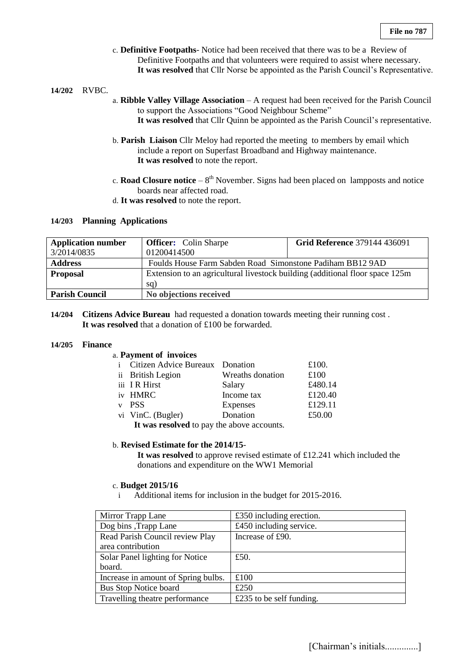- c. **Definitive Footpaths** Notice had been received that there was to be a Review of Definitive Footpaths and that volunteers were required to assist where necessary. **It was resolved** that Cllr Norse be appointed as the Parish Council's Representative.
- **14/202** RVBC.
- a. **Ribble Valley Village Association** A request had been received for the Parish Council to support the Associations "Good Neighbour Scheme" **It was resolved** that Cllr Quinn be appointed as the Parish Council's representative.
- b. **Parish Liaison** Cllr Meloy had reported the meeting to members by email which include a report on Superfast Broadband and Highway maintenance. **It was resolved** to note the report.
- c. **Road Closure notice**  $-8<sup>th</sup>$  November. Signs had been placed on lampposts and notice boards near affected road.
- d. **It was resolved** to note the report.

### **14/203 Planning Applications**

| <b>Application number</b> | <b>Officer:</b> Colin Sharpe                                                  | <b>Grid Reference 379144 436091</b> |  |
|---------------------------|-------------------------------------------------------------------------------|-------------------------------------|--|
| 3/2014/0835               | 01200414500                                                                   |                                     |  |
| <b>Address</b>            | Foulds House Farm Sabden Road Simonstone Padiham BB12 9AD                     |                                     |  |
| <b>Proposal</b>           | Extension to an agricultural livestock building (additional floor space 125m) |                                     |  |
|                           | sq)                                                                           |                                     |  |
| <b>Parish Council</b>     | No objections received                                                        |                                     |  |

**14/204 Citizens Advice Bureau** had requested a donation towards meeting their running cost . **It was resolved** that a donation of £100 be forwarded.

#### **14/205 Finance**

#### a. **Payment of invoices**

| i Citizen Advice Bureaux Donation                                                   |                  | £100.   |
|-------------------------------------------------------------------------------------|------------------|---------|
| ii British Legion                                                                   | Wreaths donation | £100    |
| iii IR Hirst                                                                        | Salary           | £480.14 |
| iv HMRC                                                                             | Income tax       | £120.40 |
| v PSS                                                                               | Expenses         | £129.11 |
| vi VinC. (Bugler)                                                                   | Donation         | £50.00  |
| <b>TA</b> denote the collected A contracted A contract the contract of $\mathbf{r}$ |                  |         |

**It was resolved** to pay the above accounts.

#### b. **Revised Estimate for the 2014/15**-

**It was resolved** to approve revised estimate of £12.241 which included the donations and expenditure on the WW1 Memorial

#### c. **Budget 2015/16**

i Additional items for inclusion in the budget for 2015-2016.

| Mirror Trapp Lane                   | £350 including erection. |
|-------------------------------------|--------------------------|
| Dog bins, Trapp Lane                | £450 including service.  |
| Read Parish Council review Play     | Increase of £90.         |
| area contribution                   |                          |
| Solar Panel lighting for Notice     | £50.                     |
| board.                              |                          |
| Increase in amount of Spring bulbs. | £100                     |
| <b>Bus Stop Notice board</b>        | £250                     |
| Travelling theatre performance      | £235 to be self funding. |